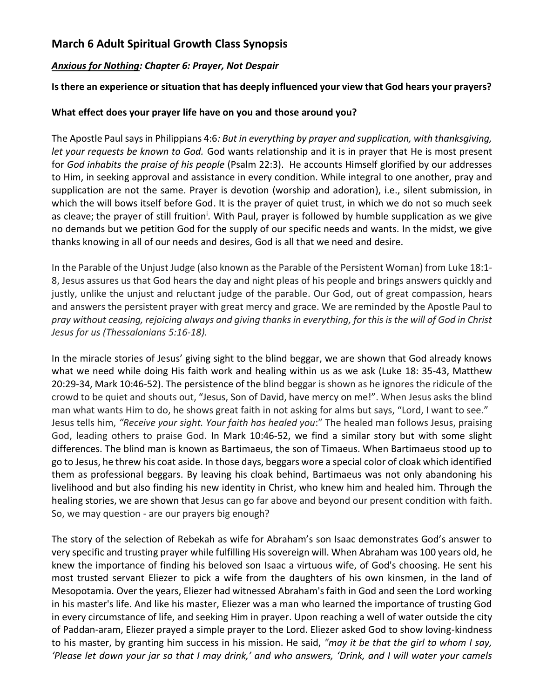## **March 6 Adult Spiritual Growth Class Synopsis**

#### *Anxious for Nothing: Chapter 6: Prayer, Not Despair*

#### **Is there an experience or situation that has deeply influenced your view that God hears your prayers?**

#### **What effect does your prayer life have on you and those around you?**

The Apostle Paul says in Philippians 4:6*: But in everything by prayer and supplication, with thanksgiving, let your requests be known to God.* God wants relationship and it is in prayer that He is most present for *God inhabits the praise of his people* (Psalm 22:3). He accounts Himself glorified by our addresses to Him, in seeking approval and assistance in every condition. While integral to one another, pray and supplication are not the same. Prayer is devotion (worship and adoration), i.e., silent submission, in which the will bows itself before God. It is the prayer of quiet trust, in which we do not so much seek as cleave; the prayer of still fruition<sup>i</sup>. With Paul, prayer is followed by humble supplication as we give no demands but we petition God for the supply of our specific needs and wants. In the midst, we give thanks knowing in all of our needs and desires, God is all that we need and desire.

In the Parable of the Unjust Judge (also known as the Parable of the Persistent Woman) from Luke 18:1- 8, Jesus assures us that God hears the day and night pleas of his people and brings answers quickly and justly, unlike the unjust and reluctant judge of the parable. Our God, out of great compassion, hears and answers the persistent prayer with great mercy and grace. We are reminded by the Apostle Paul to *pray without ceasing, rejoicing always and giving thanks in everything, for this is the will of God in Christ Jesus for us (Thessalonians 5:16-18).*

In the miracle stories of Jesus' giving sight to the blind beggar, we are shown that God already knows what we need while doing His faith work and healing within us as we ask (Luke 18: 35-43, Matthew 20:29-34, Mark 10:46-52). The persistence of the blind beggar is shown as he ignores the ridicule of the crowd to be quiet and shouts out, "Jesus, Son of David, have mercy on me!". When Jesus asks the blind man what wants Him to do, he shows great faith in not asking for alms but says, "Lord, I want to see." Jesus tells him, *"Receive your sight. Your faith has healed you*:" The healed man follows Jesus, praising God, leading others to praise God. In Mark 10:46-52, we find a similar story but with some slight differences. The blind man is known as Bartimaeus, the son of Timaeus. When Bartimaeus stood up to go to Jesus, he threw his coat aside. In those days, beggars wore a special color of cloak which identified them as professional beggars. By leaving his cloak behind, Bartimaeus was not only abandoning his livelihood and but also finding his new identity in Christ, who knew him and healed him. Through the healing stories, we are shown that Jesus can go far above and beyond our present condition with faith. So, we may question - are our prayers big enough?

The story of the selection of Rebekah as wife for Abraham's son Isaac demonstrates God's answer to very specific and trusting prayer while fulfilling His sovereign will. When Abraham was 100 years old, he knew the importance of finding his beloved son Isaac a virtuous wife, of God's choosing. He sent his most trusted servant Eliezer to pick a wife from the daughters of his own kinsmen, in the land of Mesopotamia. Over the years, Eliezer had witnessed Abraham's faith in God and seen the Lord working in his master's life. And like his master, Eliezer was a man who learned the importance of trusting God in every circumstance of life, and seeking Him in prayer. Upon reaching a well of water outside the city of Paddan-aram, Eliezer prayed a simple prayer to the Lord. Eliezer asked God to show loving-kindness to his master, by granting him success in his mission. He said, *"may it be that the girl to whom I say, 'Please let down your jar so that I may drink,' and who answers, 'Drink, and I will water your camels*